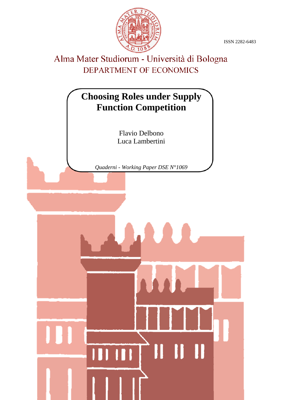ISSN 2282-6483



# Alma Mater Studiorum - Università di Bologna DEPARTMENT OF ECONOMICS

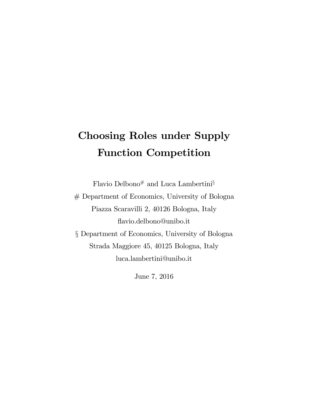# Choosing Roles under Supply Function Competition

Flavio Delbono# and Luca Lambertini $\S$ 

# Department of Economics, University of Bologna Piazza Scaravilli 2, 40126 Bologna, Italy áavio.delbono@unibo.it ß Department of Economics, University of Bologna Strada Maggiore 45, 40125 Bologna, Italy

luca.lambertini@unibo.it

June 7, 2016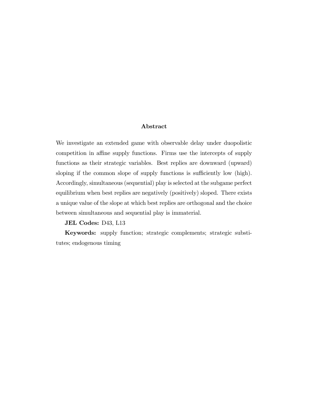#### Abstract

We investigate an extended game with observable delay under duopolistic competition in affine supply functions. Firms use the intercepts of supply functions as their strategic variables. Best replies are downward (upward) sloping if the common slope of supply functions is sufficiently low (high). Accordingly, simultaneous (sequential) play is selected at the subgame perfect equilibrium when best replies are negatively (positively) sloped. There exists a unique value of the slope at which best replies are orthogonal and the choice between simultaneous and sequential play is immaterial.

#### JEL Codes: D43, L13

Keywords: supply function; strategic complements; strategic substitutes; endogenous timing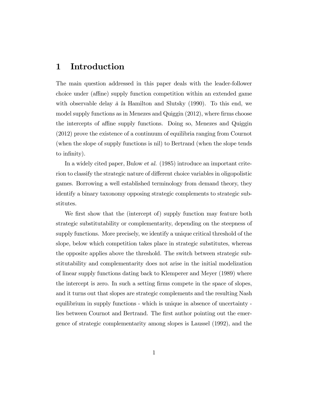### 1 Introduction

The main question addressed in this paper deals with the leader-follower choice under (affine) supply function competition within an extended game with observable delay à la Hamilton and Slutsky  $(1990)$ . To this end, we model supply functions as in Menezes and Quiggin  $(2012)$ , where firms choose the intercepts of affine supply functions. Doing so, Menezes and Quiggin (2012) prove the existence of a continuum of equilibria ranging from Cournot (when the slope of supply functions is nil) to Bertrand (when the slope tends to infinity).

In a widely cited paper, Bulow et al. (1985) introduce an important criterion to classify the strategic nature of different choice variables in oligopolistic games. Borrowing a well established terminology from demand theory, they identify a binary taxonomy opposing strategic complements to strategic substitutes.

We first show that the (intercept of) supply function may feature both strategic substitutability or complementarity, depending on the steepness of supply functions. More precisely, we identify a unique critical threshold of the slope, below which competition takes place in strategic substitutes, whereas the opposite applies above the threshold. The switch between strategic substitutability and complementarity does not arise in the initial modelization of linear supply functions dating back to Klemperer and Meyer (1989) where the intercept is zero. In such a setting Örms compete in the space of slopes, and it turns out that slopes are strategic complements and the resulting Nash equilibrium in supply functions - which is unique in absence of uncertainty lies between Cournot and Bertrand. The first author pointing out the emergence of strategic complementarity among slopes is Laussel (1992), and the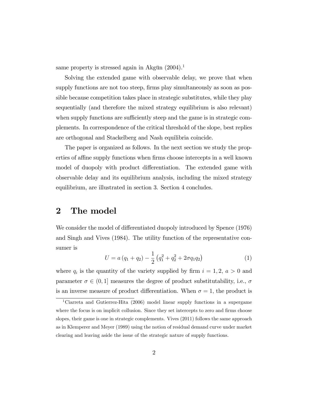same property is stressed again in Akgün  $(2004).<sup>1</sup>$ 

Solving the extended game with observable delay, we prove that when supply functions are not too steep, firms play simultaneously as soon as possible because competition takes place in strategic substitutes, while they play sequentially (and therefore the mixed strategy equilibrium is also relevant) when supply functions are sufficiently steep and the game is in strategic complements. In correspondence of the critical threshold of the slope, best replies are orthogonal and Stackelberg and Nash equilibria coincide.

The paper is organized as follows. In the next section we study the properties of affine supply functions when firms choose intercepts in a well known model of duopoly with product differentiation. The extended game with observable delay and its equilibrium analysis, including the mixed strategy equilibrium, are illustrated in section 3. Section 4 concludes.

#### 2 The model

We consider the model of differentiated duopoly introduced by Spence (1976) and Singh and Vives (1984). The utility function of the representative consumer is

$$
U = a (q_1 + q_2) - \frac{1}{2} (q_1^2 + q_2^2 + 2\sigma q_1 q_2)
$$
 (1)

where  $q_i$  is the quantity of the variety supplied by firm  $i = 1, 2, a > 0$  and parameter  $\sigma \in (0, 1]$  measures the degree of product substitutability, i.e.,  $\sigma$ is an inverse measure of product differentiation. When  $\sigma = 1$ , the product is

<sup>&</sup>lt;sup>1</sup>Ciarreta and Gutierrez-Hita (2006) model linear supply functions in a supergame where the focus is on implicit collusion. Since they set intercepts to zero and firms choose slopes, their game is one in strategic complements. Vives (2011) follows the same approach as in Klemperer and Meyer (1989) using the notion of residual demand curve under market clearing and leaving aside the issue of the strategic nature of supply functions.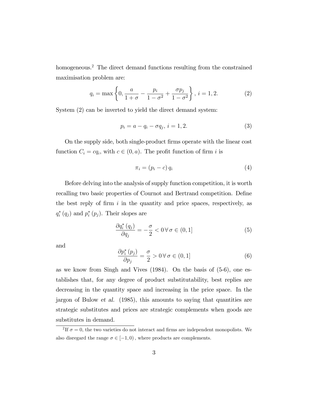homogeneous.<sup>2</sup> The direct demand functions resulting from the constrained maximisation problem are:

$$
q_i = \max\left\{0, \frac{a}{1+\sigma} - \frac{p_i}{1-\sigma^2} + \frac{\sigma p_j}{1-\sigma^2}\right\}, \, i = 1, 2. \tag{2}
$$

System (2) can be inverted to yield the direct demand system:

$$
p_i = a - q_i - \sigma q_j, \, i = 1, 2. \tag{3}
$$

On the supply side, both single-product Örms operate with the linear cost function  $C_i = cq_i$ , with  $c \in (0, a)$ . The profit function of firm i is

$$
\pi_i = (p_i - c) q_i \tag{4}
$$

Before delving into the analysis of supply function competition, it is worth recalling two basic properties of Cournot and Bertrand competition. Define the best reply of firm  $i$  in the quantity and price spaces, respectively, as  $q_i^*(q_j)$  and  $p_i^*(p_j)$ . Their slopes are

$$
\frac{\partial q_i^*(q_j)}{\partial q_j} = -\frac{\sigma}{2} < 0 \,\forall \,\sigma \in (0, 1] \tag{5}
$$

and

$$
\frac{\partial p_i^*(p_j)}{\partial p_j} = \frac{\sigma}{2} > 0 \,\forall \,\sigma \in (0, 1]
$$
 (6)

as we know from Singh and Vives  $(1984)$ . On the basis of  $(5-6)$ , one establishes that, for any degree of product substitutability, best replies are decreasing in the quantity space and increasing in the price space. In the jargon of Bulow et al. (1985), this amounts to saying that quantities are strategic substitutes and prices are strategic complements when goods are substitutes in demand.

<sup>&</sup>lt;sup>2</sup>If  $\sigma = 0$ , the two varieties do not interact and firms are independent monopolists. We also disregard the range  $\sigma \in [-1, 0)$ , where products are complements.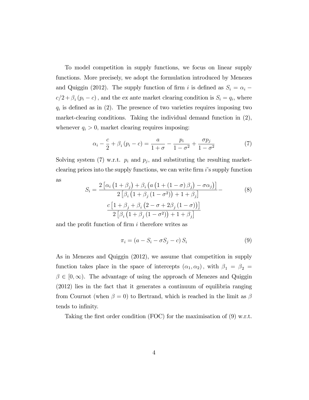To model competition in supply functions, we focus on linear supply functions. More precisely, we adopt the formulation introduced by Menezes and Quiggin (2012). The supply function of firm i is defined as  $S_i = \alpha_i$ .  $c/2 + \beta_i (p_i - c)$ , and the ex ante market clearing condition is  $S_i = q_i$ , where  $q_i$  is defined as in (2). The presence of two varieties requires imposing two market-clearing conditions. Taking the individual demand function in (2), whenever  $q_i > 0$ , market clearing requires imposing:

$$
\alpha_i - \frac{c}{2} + \beta_i (p_i - c) = \frac{a}{1 + \sigma} - \frac{p_i}{1 - \sigma^2} + \frac{\sigma p_j}{1 - \sigma^2}
$$
 (7)

Solving system (7) w.r.t.  $p_i$  and  $p_j$ , and substituting the resulting marketclearing prices into the supply functions, we can write firm  $i$ 's supply function as

$$
S_i = \frac{2\left[\alpha_i\left(1+\beta_j\right) + \beta_i\left(a\left(1+\left(1-\sigma\right)\beta_j\right) - \sigma\alpha_j\right)\right]}{2\left[\beta_i\left(1+\beta_j\left(1-\sigma^2\right)\right) + 1 + \beta_j\right]}
$$
\n
$$
\frac{c\left[1+\beta_j+\beta_i\left(2-\sigma+2\beta_j\left(1-\sigma\right)\right)\right]}{2\left[\beta_i\left(1+\beta_j\left(1-\sigma^2\right)\right) + 1 + \beta_j\right]}
$$
\n
$$
(8)
$$

and the profit function of firm  $i$  therefore writes as

$$
\pi_i = (a - S_i - \sigma S_j - c) S_i \tag{9}
$$

As in Menezes and Quiggin (2012), we assume that competition in supply function takes place in the space of intercepts  $(\alpha_1, \alpha_2)$ , with  $\beta_1 = \beta_2 =$  $\beta \in [0,\infty)$ . The advantage of using the approach of Menezes and Quiggin (2012) lies in the fact that it generates a continuum of equilibria ranging from Cournot (when  $\beta = 0$ ) to Bertrand, which is reached in the limit as  $\beta$ tends to infinity.

Taking the first order condition (FOC) for the maximisation of  $(9)$  w.r.t.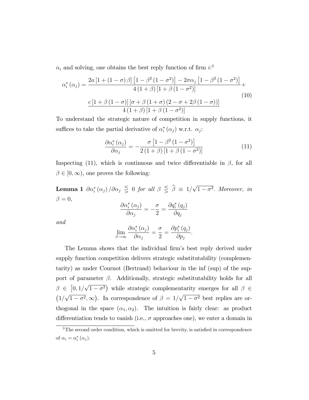$\alpha_i$  and solving, one obtains the best reply function of firm  $i:$ <sup>3</sup>

$$
\alpha_i^* (\alpha_j) = \frac{2a\left[1 + \left(1 - \sigma\right)\beta\right]\left[1 - \beta^2 \left(1 - \sigma^2\right)\right] - 2\sigma\alpha_j \left[1 - \beta^2 \left(1 - \sigma^2\right)\right]}{4\left(1 + \beta\right)\left[1 + \beta \left(1 - \sigma^2\right)\right]} + \frac{c\left[1 + \beta \left(1 - \sigma\right)\right]\left[\sigma + \beta \left(1 + \sigma\right)\left(2 - \sigma + 2\beta \left(1 - \sigma\right)\right)\right]}{4\left(1 + \beta\right)\left[1 + \beta \left(1 - \sigma^2\right)\right]}
$$
(10)

To understand the strategic nature of competition in supply functions, it suffices to take the partial derivative of  $\alpha_i^*(\alpha_j)$  w.r.t.  $\alpha_j$ :

$$
\frac{\partial \alpha_i^* (\alpha_j)}{\partial \alpha_j} = -\frac{\sigma \left[1 - \beta^2 (1 - \sigma^2)\right]}{2 \left(1 + \beta\right) \left[1 + \beta \left(1 - \sigma^2\right)\right]}
$$
(11)

Inspecting (11), which is continuous and twice differentiable in  $\beta$ , for all  $\beta \in [0,\infty)$ , one proves the following:

**Lemma 1**  $\partial \alpha_i^* (\alpha_j) / \partial \alpha_j \leq 0$  for all  $\beta \leq \hat{\beta} \equiv 1/\sqrt{1-\sigma^2}$ . Moreover, in  $\beta = 0,$  $rac{\hat{C}}{2}$ 

$$
\frac{\partial \alpha_{i}^{*} \left(\alpha_{j} \right)}{\partial \alpha_{j}} = -\frac{\sigma}{2} = \frac{\partial q_{i}^{*} \left(q_{j} \right)}{\partial q_{j}}
$$

and

$$
\lim_{\beta \to \infty} \frac{\partial \alpha_i^* (\alpha_j)}{\partial \alpha_j} = \frac{\sigma}{2} = \frac{\partial p_i^* (q_j)}{\partial p_j}.
$$

The Lemma shows that the individual firm's best reply derived under supply function competition delivers strategic substitutability (complementarity) as under Cournot (Bertrand) behaviour in the inf (sup) of the support of parameter  $\beta$ . Additionally, strategic substitutability holds for all  $\beta \in [0, 1/\sqrt{1-\sigma^2})$  while strategic complementarity emerges for all  $\beta \in$  $(1/\sqrt{1-\sigma^2}, \infty)$ . In correspondence of  $\beta = 1/\sqrt{1-\sigma^2}$  best replies are orthogonal in the space  $(\alpha_1, \alpha_2)$ . The intuition is fairly clear: as product differentiation tends to vanish (i.e.,  $\sigma$  approaches one), we enter a domain in

 $3$ The second order condition, which is omitted for brevity, is satisfied in correspondence of  $\alpha_i = \alpha_i^* (\alpha_j)$ .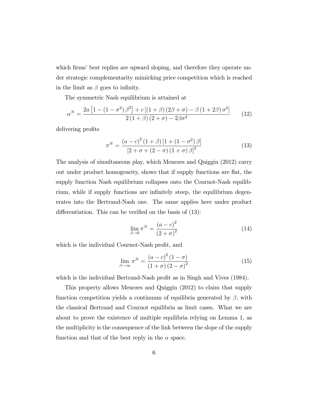which firms' best replies are upward sloping, and therefore they operate under strategic complementarity mimicking price competition which is reached in the limit as  $\beta$  goes to infinity.

The symmetric Nash equilibrium is attained at

$$
\alpha^N = \frac{2a\left[1 - \left(1 - \sigma^2\right)\beta^2\right] + c\left[\left(1 + \beta\right)\left(2\beta + \sigma\right) - \beta\left(1 + 2\beta\right)\sigma^2\right]}{2\left(1 + \beta\right)\left(2 + \sigma\right) - 2\beta\sigma^2} \tag{12}
$$

delivering profits

$$
\pi^{N} = \frac{(a-c)^{2} (1+\beta) [1 + (1 - \sigma^{2}) \beta]}{[2 + \sigma + (2 - \sigma) (1 + \sigma) \beta]^{2}}
$$
(13)

The analysis of simultaneous play, which Menezes and Quiggin (2012) carry out under product homogeneity, shows that if supply functions are flat, the supply function Nash equilibrium collapses onto the Cournot-Nash equilibrium, while if supply functions are infinitely steep, the equilibrium degenerates into the Bertrand-Nash one. The same applies here under product differentiation. This can be verified on the basis of  $(13)$ :

$$
\lim_{\beta \to 0} \pi^N = \frac{(a-c)^2}{(2+\sigma)^2}
$$
\n(14)

which is the individual Cournot-Nash profit, and

$$
\lim_{\beta \to \infty} \pi^N = \frac{\left(a-c\right)^2 \left(1-\sigma\right)}{\left(1+\sigma\right) \left(2-\sigma\right)^2} \tag{15}
$$

which is the individual Bertrand-Nash profit as in Singh and Vives (1984).

This property allows Menezes and Quiggin (2012) to claim that supply function competition yields a continuum of equilibria generated by  $\beta$ , with the classical Bertrand and Cournot equilibria as limit cases. What we are about to prove the existence of multiple equilibria relying on Lemma 1, as the multiplicity is the consequence of the link between the slope of the supply function and that of the best reply in the  $\alpha$  space.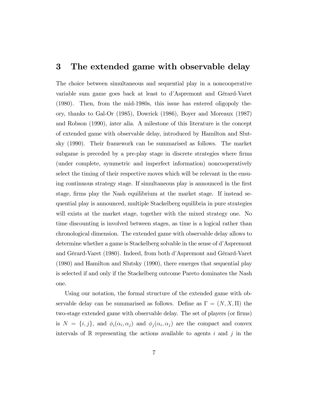#### 3 The extended game with observable delay

The choice between simultaneous and sequential play in a noncooperative variable sum game goes back at least to d'Aspremont and Gérard-Varet (1980). Then, from the mid-1980s, this issue has entered oligopoly theory, thanks to Gal-Or (1985), Dowrick (1986), Boyer and Moreaux (1987) and Robson (1990), inter alia. A milestone of this literature is the concept of extended game with observable delay, introduced by Hamilton and Slutsky (1990). Their framework can be summarised as follows. The market subgame is preceded by a pre-play stage in discrete strategies where firms (under complete, symmetric and imperfect information) noncooperatively select the timing of their respective moves which will be relevant in the ensuing continuous strategy stage. If simultaneous play is announced in the first stage, firms play the Nash equilibrium at the market stage. If instead sequential play is announced, multiple Stackelberg equilibria in pure strategies will exists at the market stage, together with the mixed strategy one. No time discounting is involved between stages, as time is a logical rather than chronological dimension. The extended game with observable delay allows to determine whether a game is Stackelberg solvable in the sense of d'Aspremont and Gérard-Varet (1980). Indeed, from both d'Aspremont and Gérard-Varet (1980) and Hamilton and Slutsky (1990), there emerges that sequential play is selected if and only if the Stackelberg outcome Pareto dominates the Nash one.

Using our notation, the formal structure of the extended game with observable delay can be summarised as follows. Define as  $\Gamma = (N, X, \Pi)$  the two-stage extended game with observable delay. The set of players (or firms) is  $N = \{i, j\}$ , and  $\phi_i(\alpha_i, \alpha_j)$  and  $\phi_j(\alpha_i, \alpha_j)$  are the compact and convex intervals of R representing the actions available to agents i and j in the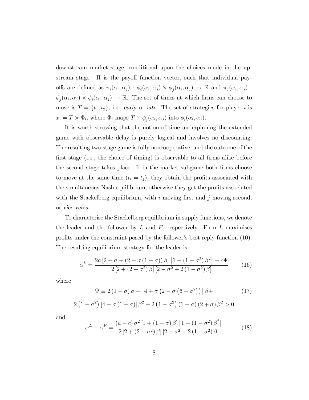downstream market stage, conditional upon the choices made in the upstream stage.  $\Pi$  is the payoff function vector, such that individual payoffs are defined as  $\pi_i(\alpha_i, \alpha_j) : \phi_i(\alpha_i, \alpha_j) \times \phi_j(\alpha_i, \alpha_j) \to \mathbb{R}$  and  $\pi_j(\alpha_i, \alpha_j)$ :  $\phi_j(\alpha_i, \alpha_j) \times \phi_i(\alpha_i, \alpha_j) \to \mathbb{R}$ . The set of times at which firms can choose to move is  $T = \{t_1, t_2\}$ , i.e., early or late. The set of strategies for player i is  $x_i = T \times \Phi_i$ , where  $\Phi_i$  maps  $T \times \phi_j(\alpha_i, \alpha_j)$  into  $\phi_i(\alpha_i, \alpha_j)$ .

It is worth stressing that the notion of time underpinning the extended game with observable delay is purely logical and involves no discounting. The resulting two-stage game is fully noncooperative, and the outcome of the first stage (i.e., the choice of timing) is observable to all firms alike before the second stage takes place. If in the market subgame both firms choose to move at the same time  $(t_i = t_i)$ , they obtain the profits associated with the simultaneous Nash equilibrium, otherwise they get the profits associated with the Stackelberg equilibrium, with i moving first and j moving second, or vice versa.

To characterise the Stackelberg equilibrium in supply functions, we denote the leader and the follower by  $L$  and  $F$ , respectively. Firm  $L$  maximises profits under the constraint posed by the follower's best reply function (10). The resulting equilibrium strategy for the leader is

$$
\alpha^{L} = \frac{2a[2-\sigma + (2-\sigma(1-\sigma))\beta] [1 - (1-\sigma^{2})\beta^{2}] + c\Psi}{2[2 + (2-\sigma^{2})\beta] [2-\sigma^{2} + 2(1-\sigma^{2})\beta]}
$$
(16)

where

$$
\Psi \equiv 2(1-\sigma)\sigma + [4+\sigma(2-\sigma(6-\sigma^2))] \beta + \tag{17}
$$

$$
2(1 - \sigma^{2})[4 - \sigma(1 + \sigma)]\beta^{2} + 2(1 - \sigma^{2})(1 + \sigma)(2 + \sigma)\beta^{2} > 0
$$

and

$$
\alpha^{L} - \alpha^{F} = \frac{(a-c)\,\sigma^{2}\left[1 + (1-\sigma)\,\beta\right]\left[1 - (1-\sigma^{2})\,\beta^{2}\right]}{2\left[2 + (2-\sigma^{2})\,\beta\right]\left[2 - \sigma^{2} + 2\,(1-\sigma^{2})\,\beta\right]}
$$
(18)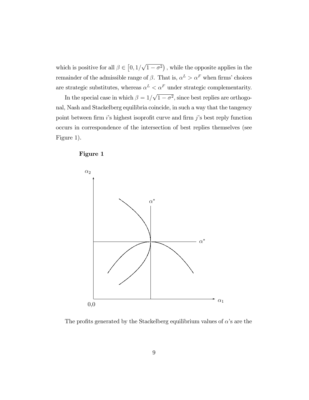which is positive for all  $\beta \in [0, 1/\sqrt{1-\sigma^2})$ , while the opposite applies in the remainder of the admissible range of  $\beta$ . That is,  $\alpha^L > \alpha^F$  when firms' choices are strategic substitutes, whereas  $\alpha^L < \alpha^F$  under strategic complementarity.

In the special case in which  $\beta = 1/\sqrt{1-\sigma^2}$ , since best replies are orthogonal, Nash and Stackelberg equilibria coincide, in such a way that the tangency point between firm  $i$ 's highest isoprofit curve and firm  $j$ 's best reply function occurs in correspondence of the intersection of best replies themselves (see Figure 1).

#### Figure 1



The profits generated by the Stackelberg equilibrium values of  $\alpha$ 's are the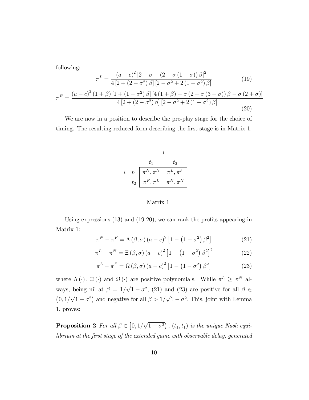following:

$$
\pi^{L} = \frac{(a-c)^{2} [2-\sigma+(2-\sigma(1-\sigma))\beta]^{2}}{4 [2+(2-\sigma^{2})\beta] [2-\sigma^{2}+2(1-\sigma^{2})\beta]}
$$
(19)  

$$
\pi^{F} = \frac{(a-c)^{2} (1+\beta) [1+(1-\sigma^{2})\beta] [4(1+\beta)-\sigma(2+\sigma(3-\sigma))\beta-\sigma(2+\sigma)]}{4 [2+(2-\sigma^{2})\beta] [2-\sigma^{2}+2(1-\sigma^{2})\beta]}
$$
(20)

We are now in a position to describe the pre-play stage for the choice of timing. The resulting reduced form describing the first stage is in Matrix 1.



Matrix 1

Using expressions  $(13)$  and  $(19-20)$ , we can rank the profits appearing in Matrix 1:

$$
\pi^N - \pi^F = \Lambda(\beta, \sigma) (a - c)^2 \left[ 1 - \left( 1 - \sigma^2 \right) \beta^2 \right] \tag{21}
$$

$$
\pi^{L} - \pi^{N} = \Xi(\beta, \sigma) (a - c)^{2} \left[ 1 - \left( 1 - \sigma^{2} \right) \beta^{2} \right]^{2}
$$
 (22)

$$
\pi^{L} - \pi^{F} = \Omega\left(\beta, \sigma\right)\left(a - c\right)^{2}\left[1 - \left(1 - \sigma^{2}\right)\beta^{2}\right]
$$
\n(23)

where  $\Lambda(\cdot)$ ,  $\Xi(\cdot)$  and  $\Omega(\cdot)$  are positive polynomials. While  $\pi^L \geq \pi^N$  always, being nil at  $\beta = 1/\sqrt{1-\sigma^2}$ , (21) and (23) are positive for all  $\beta \in$  $(0, 1/\sqrt{1-\sigma^2})$  and negative for all  $\beta > 1/\sqrt{1-\sigma^2}$ . This, joint with Lemma 1, proves:

**Proposition 2** For all  $\beta \in [0, 1/\sqrt{1-\sigma^2})$ ,  $(t_1, t_1)$  is the unique Nash equilibrium at the first stage of the extended game with observable delay, generated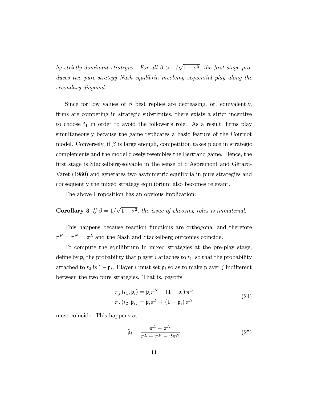by strictly dominant strategies. For all  $\beta > 1/\sqrt{1-\sigma^2}$ , the first stage produces two pure-strategy Nash equilibria involving sequential play along the secondary diagonal.

Since for low values of  $\beta$  best replies are decreasing, or, equivalently, firms are competing in strategic substitutes, there exists a strict incentive to choose  $t_1$  in order to avoid the follower's role. As a result, firms play simultaneously because the game replicates a basic feature of the Cournot model. Conversely, if  $\beta$  is large enough, competition takes place in strategic complements and the model closely resembles the Bertrand game. Hence, the first stage is Stackelberg-solvable in the sense of d'Aspremont and Gérard-Varet (1980) and generates two asymmetric equilibria in pure strategies and consequently the mixed strategy equilibrium also becomes relevant.

The above Proposition has an obvious implication:

# **Corollary 3** If  $\beta = 1/\sqrt{1-\sigma^2}$ , the issue of choosing roles is immaterial.

This happens because reaction functions are orthogonal and therefore  $\pi^F = \pi^N = \pi^L$  and the Nash and Stackelberg outcomes coincide.

To compute the equilibrium in mixed strategies at the pre-play stage, define by  $\mathfrak{p}_i$  the probability that player i attaches to  $t_1$ , so that the probability attached to  $t_2$  is  $1-\mathfrak{p}_i$ . Player i must set  $\mathfrak{p}_i$  so as to make player j indifferent between the two pure strategies. That is, payoffs

$$
\pi_j(t_1, \mathbf{p}_i) = \mathbf{p}_i \pi^N + (1 - \mathbf{p}_i) \pi^L
$$
  

$$
\pi_j(t_2, \mathbf{p}_i) = \mathbf{p}_i \pi^F + (1 - \mathbf{p}_i) \pi^N
$$
 (24)

must coincide. This happens at

$$
\widehat{\mathfrak{p}}_i = \frac{\pi^L - \pi^N}{\pi^L + \pi^F - 2\pi^N} \tag{25}
$$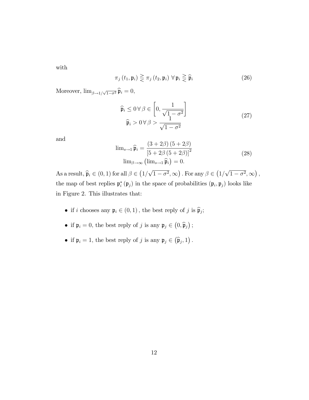with

$$
\pi_j(t_1, \mathfrak{p}_i) \gtrless \pi_j(t_2, \mathfrak{p}_i) \,\,\forall\,\mathfrak{p}_i \gtrless \widehat{\mathfrak{p}}_i \tag{26}
$$

Moreover,  $\lim_{\beta \to 1/\sqrt{1-\sigma^2}} \widehat{\mathfrak{p}}_i = 0,$ 

$$
\widehat{\mathfrak{p}}_i \le 0 \,\forall \,\beta \in \left[0, \frac{1}{\sqrt{1 - \sigma^2}}\right] \n\widehat{\mathfrak{p}}_i > 0 \,\forall \,\beta > \frac{1}{\sqrt{1 - \sigma^2}}
$$
\n(27)

and

$$
\lim_{s \to 1} \widehat{\mathfrak{p}}_i = \frac{(3+2\beta)(5+2\beta)}{\left[5+2\beta(5+2\beta)\right]^2}
$$
\n
$$
\lim_{\beta \to \infty} \left(\lim_{s \to 1} \widehat{\mathfrak{p}}_i\right) = 0.
$$
\n(28)

As a result,  $\hat{\mathfrak{p}}_i \in (0,1)$  for all  $\beta \in (1/\sqrt{1-\sigma^2},\infty)$ . For any  $\beta \in (1/\sqrt{1-\sigma^2},\infty)$ , the map of best replies  $\mathfrak{p}_i^*(\mathfrak{p}_j)$  in the space of probabilities  $(\mathfrak{p}_i, \mathfrak{p}_j)$  looks like in Figure 2. This illustrates that:

- if *i* chooses any  $\mathfrak{p}_i \in (0,1)$ , the best reply of *j* is  $\widehat{\mathfrak{p}}_j$ ;
- if  $\mathfrak{p}_i = 0$ , the best reply of j is any  $\mathfrak{p}_j \in (0, \widehat{\mathfrak{p}}_j)$ ;
- if  $\mathfrak{p}_i = 1$ , the best reply of j is any  $\mathfrak{p}_j \in (\widehat{\mathfrak{p}}_j, 1)$ .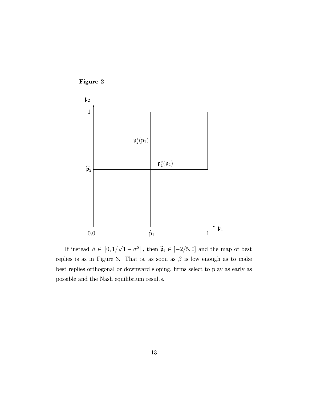

If instead  $\beta \in [0, 1/\sqrt{1-\sigma^2}]$ , then  $\widehat{\mathfrak{p}}_i \in [-2/5, 0]$  and the map of best replies is as in Figure 3. That is, as soon as  $\beta$  is low enough as to make best replies orthogonal or downward sloping, firms select to play as early as possible and the Nash equilibrium results.

Figure 2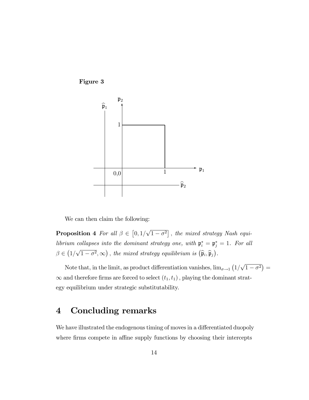

We can then claim the following:

Figure 3

**Proposition 4** For all  $\beta \in [0, 1/\sqrt{1-\sigma^2}]$ , the mixed strategy Nash equilibrium collapses into the dominant strategy one, with  $\mathfrak{p}_i^* = \mathfrak{p}_j^* = 1$ . For all  $\beta \in (1/\sqrt{1-\sigma^2}, \infty)$ , the mixed strategy equilibrium is  $(\widehat{\mathfrak{p}}_i, \widehat{\mathfrak{p}}_j)$ .

Note that, in the limit, as product differentiation vanishes,  $\lim_{\sigma \to 1} (1/\sqrt{1-\sigma^2})$  $\infty$  and therefore firms are forced to select  $(t_1, t_1)$ , playing the dominant strategy equilibrium under strategic substitutability.

## 4 Concluding remarks

We have illustrated the endogenous timing of moves in a differentiated duopoly where firms compete in affine supply functions by choosing their intercepts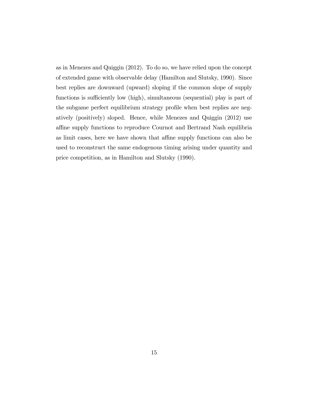as in Menezes and Quiggin (2012). To do so, we have relied upon the concept of extended game with observable delay (Hamilton and Slutsky, 1990). Since best replies are downward (upward) sloping if the common slope of supply functions is sufficiently low (high), simultaneous (sequential) play is part of the subgame perfect equilibrium strategy profile when best replies are negatively (positively) sloped. Hence, while Menezes and Quiggin (2012) use affine supply functions to reproduce Cournot and Bertrand Nash equilibria as limit cases, here we have shown that affine supply functions can also be used to reconstruct the same endogenous timing arising under quantity and price competition, as in Hamilton and Slutsky (1990).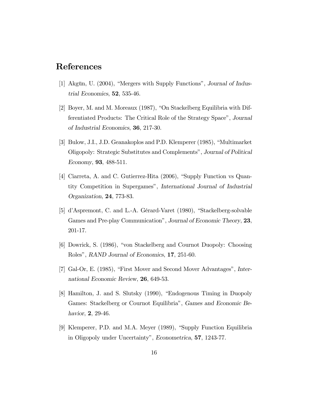## References

- [1] Akgün, U. (2004), "Mergers with Supply Functions", Journal of Industrial Economics, 52, 535-46.
- [2] Boyer, M. and M. Moreaux (1987), "On Stackelberg Equilibria with Differentiated Products: The Critical Role of the Strategy Space", Journal of Industrial Economics, 36, 217-30.
- [3] Bulow, J.I., J.D. Geanakoplos and P.D. Klemperer (1985), "Multimarket Oligopoly: Strategic Substitutes and Complements", Journal of Political Economy, 93, 488-511.
- [4] Ciarreta, A. and C. Gutierrez-Hita  $(2006)$ , "Supply Function vs Quantity Competition in Supergames", International Journal of Industrial Organization, 24, 773-83.
- [5] d'Aspremont, C. and L.-A. Gérard-Varet  $(1980)$ , "Stackelberg-solvable Games and Pre-play Communication", Journal of Economic Theory, 23, 201-17.
- [6] Dowrick, S. (1986), "von Stackelberg and Cournot Duopoly: Choosing Roles", RAND Journal of Economics, 17, 251-60.
- [7] Gal-Or, E. (1985), "First Mover and Second Mover Advantages", International Economic Review, 26, 649-53.
- [8] Hamilton, J. and S. Slutsky (1990), "Endogenous Timing in Duopoly Games: Stackelberg or Cournot Equilibriaî, Games and Economic Behavior, **2**, 29-46.
- [9] Klemperer, P.D. and M.A. Meyer (1989), "Supply Function Equilibria in Oligopoly under Uncertainty", Econometrica, 57, 1243-77.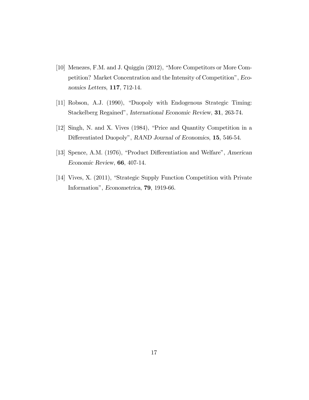- [10] Menezes, F.M. and J. Quiggin (2012), "More Competitors or More Competition? Market Concentration and the Intensity of Competitionî, Economics Letters, 117, 712-14.
- [11] Robson, A.J. (1990), "Duopoly with Endogenous Strategic Timing: Stackelberg Regained", International Economic Review, 31, 263-74.
- $[12]$  Singh, N. and X. Vives  $(1984)$ , "Price and Quantity Competition in a Differentiated Duopoly", RAND Journal of Economics, 15, 546-54.
- [13] Spence, A.M. (1976), "Product Differentiation and Welfare", American Economic Review, 66, 407-14.
- [14] Vives, X. (2011), "Strategic Supply Function Competition with Private Information", *Econometrica*, **79**, 1919-66.